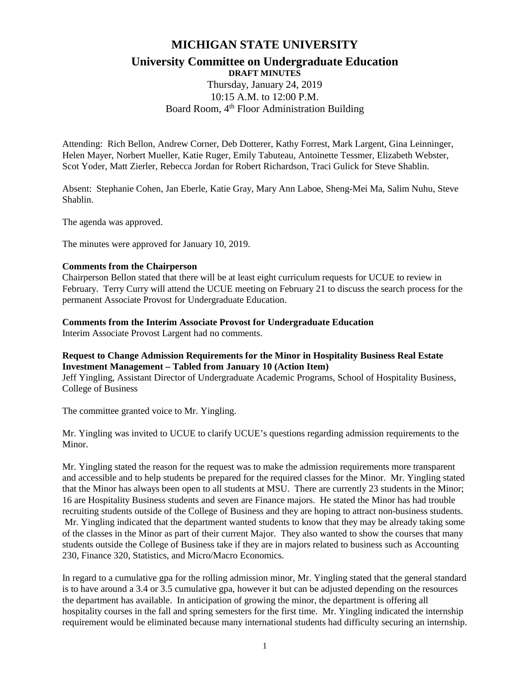# **MICHIGAN STATE UNIVERSITY**

## **University Committee on Undergraduate Education DRAFT MINUTES**

Thursday, January 24, 2019 10:15 A.M. to 12:00 P.M. Board Room, 4<sup>th</sup> Floor Administration Building

Attending: Rich Bellon, Andrew Corner, Deb Dotterer, Kathy Forrest, Mark Largent, Gina Leinninger, Helen Mayer, Norbert Mueller, Katie Ruger, Emily Tabuteau, Antoinette Tessmer, Elizabeth Webster, Scot Yoder, Matt Zierler, Rebecca Jordan for Robert Richardson, Traci Gulick for Steve Shablin.

Absent: Stephanie Cohen, Jan Eberle, Katie Gray, Mary Ann Laboe, Sheng-Mei Ma, Salim Nuhu, Steve Shablin.

The agenda was approved.

The minutes were approved for January 10, 2019.

#### **Comments from the Chairperson**

Chairperson Bellon stated that there will be at least eight curriculum requests for UCUE to review in February. Terry Curry will attend the UCUE meeting on February 21 to discuss the search process for the permanent Associate Provost for Undergraduate Education.

#### **Comments from the Interim Associate Provost for Undergraduate Education**

Interim Associate Provost Largent had no comments.

## **Request to Change Admission Requirements for the Minor in Hospitality Business Real Estate Investment Management – Tabled from January 10 (Action Item)**

Jeff Yingling, Assistant Director of Undergraduate Academic Programs, School of Hospitality Business, College of Business

The committee granted voice to Mr. Yingling.

Mr. Yingling was invited to UCUE to clarify UCUE's questions regarding admission requirements to the Minor.

Mr. Yingling stated the reason for the request was to make the admission requirements more transparent and accessible and to help students be prepared for the required classes for the Minor. Mr. Yingling stated that the Minor has always been open to all students at MSU. There are currently 23 students in the Minor; 16 are Hospitality Business students and seven are Finance majors. He stated the Minor has had trouble recruiting students outside of the College of Business and they are hoping to attract non-business students. Mr. Yingling indicated that the department wanted students to know that they may be already taking some of the classes in the Minor as part of their current Major. They also wanted to show the courses that many students outside the College of Business take if they are in majors related to business such as Accounting 230, Finance 320, Statistics, and Micro/Macro Economics.

In regard to a cumulative gpa for the rolling admission minor, Mr. Yingling stated that the general standard is to have around a 3.4 or 3.5 cumulative gpa, however it but can be adjusted depending on the resources the department has available. In anticipation of growing the minor, the department is offering all hospitality courses in the fall and spring semesters for the first time. Mr. Yingling indicated the internship requirement would be eliminated because many international students had difficulty securing an internship.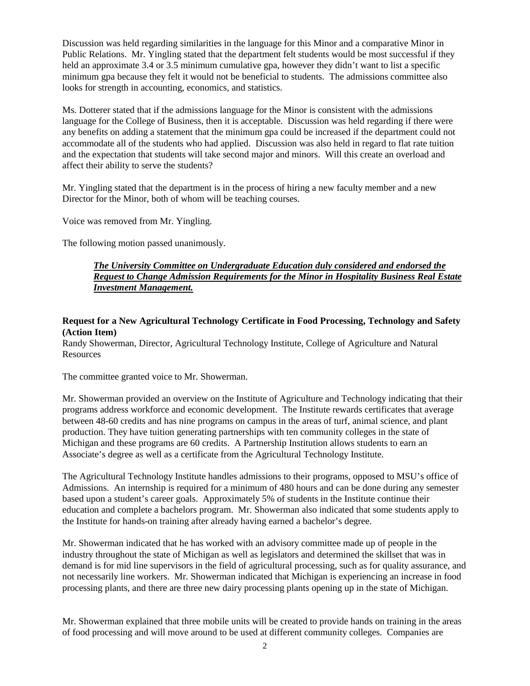Discussion was held regarding similarities in the language for this Minor and a comparative Minor in Public Relations. Mr. Yingling stated that the department felt students would be most successful if they held an approximate 3.4 or 3.5 minimum cumulative gpa, however they didn't want to list a specific minimum gpa because they felt it would not be beneficial to students. The admissions committee also looks for strength in accounting, economics, and statistics.

Ms. Dotterer stated that if the admissions language for the Minor is consistent with the admissions language for the College of Business, then it is acceptable. Discussion was held regarding if there were any benefits on adding a statement that the minimum gpa could be increased if the department could not accommodate all of the students who had applied. Discussion was also held in regard to flat rate tuition and the expectation that students will take second major and minors. Will this create an overload and affect their ability to serve the students?

Mr. Yingling stated that the department is in the process of hiring a new faculty member and a new Director for the Minor, both of whom will be teaching courses.

Voice was removed from Mr. Yingling.

The following motion passed unanimously.

## *The University Committee on Undergraduate Education duly considered and endorsed the Request to Change Admission Requirements for the Minor in Hospitality Business Real Estate Investment Management.*

## **Request for a New Agricultural Technology Certificate in Food Processing, Technology and Safety (Action Item)**

Randy Showerman, Director, Agricultural Technology Institute, College of Agriculture and Natural Resources

The committee granted voice to Mr. Showerman.

Mr. Showerman provided an overview on the Institute of Agriculture and Technology indicating that their programs address workforce and economic development. The Institute rewards certificates that average between 48-60 credits and has nine programs on campus in the areas of turf, animal science, and plant production. They have tuition generating partnerships with ten community colleges in the state of Michigan and these programs are 60 credits. A Partnership Institution allows students to earn an Associate's degree as well as a certificate from the Agricultural Technology Institute.

The Agricultural Technology Institute handles admissions to their programs, opposed to MSU's office of Admissions. An internship is required for a minimum of 480 hours and can be done during any semester based upon a student's career goals. Approximately 5% of students in the Institute continue their education and complete a bachelors program. Mr. Showerman also indicated that some students apply to the Institute for hands-on training after already having earned a bachelor's degree.

Mr. Showerman indicated that he has worked with an advisory committee made up of people in the industry throughout the state of Michigan as well as legislators and determined the skillset that was in demand is for mid line supervisors in the field of agricultural processing, such as for quality assurance, and not necessarily line workers. Mr. Showerman indicated that Michigan is experiencing an increase in food processing plants, and there are three new dairy processing plants opening up in the state of Michigan.

Mr. Showerman explained that three mobile units will be created to provide hands on training in the areas of food processing and will move around to be used at different community colleges. Companies are